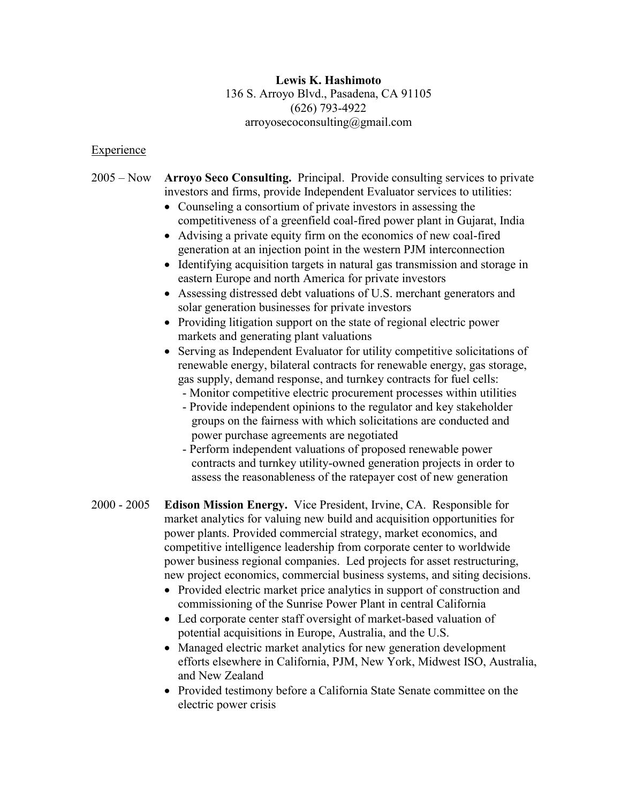## **Lewis K. Hashimoto** 136 S. Arroyo Blvd., Pasadena, CA 91105 (626) 793-4922 arroyosecoconsulting@gmail.com

## Experience

## 2005 – Now **Arroyo Seco Consulting.** Principal. Provide consulting services to private investors and firms, provide Independent Evaluator services to utilities:

- Counseling a consortium of private investors in assessing the competitiveness of a greenfield coal-fired power plant in Gujarat, India
- Advising a private equity firm on the economics of new coal-fired generation at an injection point in the western PJM interconnection
- Identifying acquisition targets in natural gas transmission and storage in eastern Europe and north America for private investors
- Assessing distressed debt valuations of U.S. merchant generators and solar generation businesses for private investors
- Providing litigation support on the state of regional electric power markets and generating plant valuations
- Serving as Independent Evaluator for utility competitive solicitations of renewable energy, bilateral contracts for renewable energy, gas storage, gas supply, demand response, and turnkey contracts for fuel cells:
	- Monitor competitive electric procurement processes within utilities
	- Provide independent opinions to the regulator and key stakeholder groups on the fairness with which solicitations are conducted and power purchase agreements are negotiated
	- Perform independent valuations of proposed renewable power contracts and turnkey utility-owned generation projects in order to assess the reasonableness of the ratepayer cost of new generation
- 2000 2005 **Edison Mission Energy.** Vice President, Irvine, CA. Responsible for market analytics for valuing new build and acquisition opportunities for power plants. Provided commercial strategy, market economics, and competitive intelligence leadership from corporate center to worldwide power business regional companies. Led projects for asset restructuring, new project economics, commercial business systems, and siting decisions.
	- Provided electric market price analytics in support of construction and commissioning of the Sunrise Power Plant in central California
	- Led corporate center staff oversight of market-based valuation of potential acquisitions in Europe, Australia, and the U.S.
	- Managed electric market analytics for new generation development efforts elsewhere in California, PJM, New York, Midwest ISO, Australia, and New Zealand
	- Provided testimony before a California State Senate committee on the electric power crisis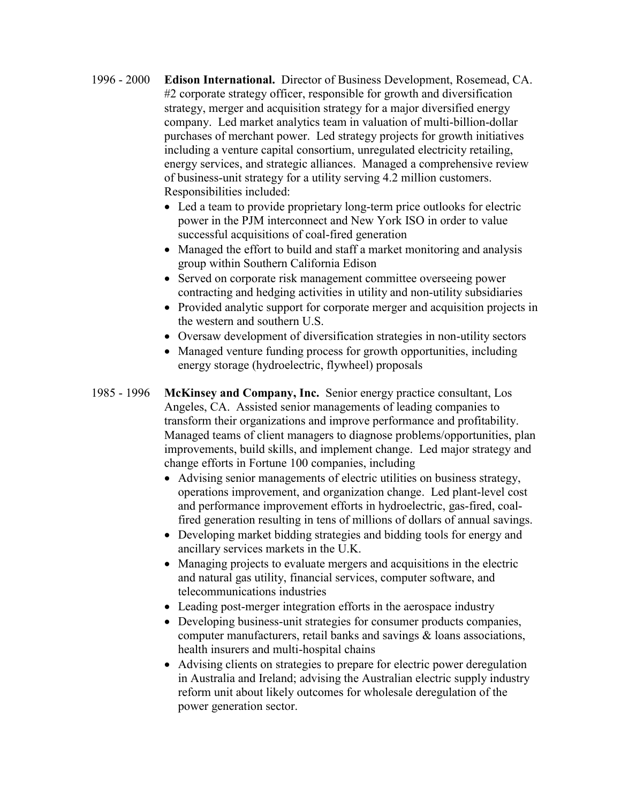- 1996 2000 **Edison International.** Director of Business Development, Rosemead, CA. #2 corporate strategy officer, responsible for growth and diversification strategy, merger and acquisition strategy for a major diversified energy company. Led market analytics team in valuation of multi-billion-dollar purchases of merchant power. Led strategy projects for growth initiatives including a venture capital consortium, unregulated electricity retailing, energy services, and strategic alliances. Managed a comprehensive review of business-unit strategy for a utility serving 4.2 million customers. Responsibilities included:
	- Led a team to provide proprietary long-term price outlooks for electric power in the PJM interconnect and New York ISO in order to value successful acquisitions of coal-fired generation
	- Managed the effort to build and staff a market monitoring and analysis group within Southern California Edison
	- Served on corporate risk management committee overseeing power contracting and hedging activities in utility and non-utility subsidiaries
	- Provided analytic support for corporate merger and acquisition projects in the western and southern U.S.
	- Oversaw development of diversification strategies in non-utility sectors
	- Managed venture funding process for growth opportunities, including energy storage (hydroelectric, flywheel) proposals
- 1985 1996 **McKinsey and Company, Inc.** Senior energy practice consultant, Los Angeles, CA. Assisted senior managements of leading companies to transform their organizations and improve performance and profitability. Managed teams of client managers to diagnose problems/opportunities, plan improvements, build skills, and implement change. Led major strategy and change efforts in Fortune 100 companies, including
	- Advising senior managements of electric utilities on business strategy, operations improvement, and organization change. Led plant-level cost and performance improvement efforts in hydroelectric, gas-fired, coalfired generation resulting in tens of millions of dollars of annual savings.
	- Developing market bidding strategies and bidding tools for energy and ancillary services markets in the U.K.
	- Managing projects to evaluate mergers and acquisitions in the electric and natural gas utility, financial services, computer software, and telecommunications industries
	- Leading post-merger integration efforts in the aerospace industry
	- Developing business-unit strategies for consumer products companies, computer manufacturers, retail banks and savings & loans associations, health insurers and multi-hospital chains
	- Advising clients on strategies to prepare for electric power deregulation in Australia and Ireland; advising the Australian electric supply industry reform unit about likely outcomes for wholesale deregulation of the power generation sector.